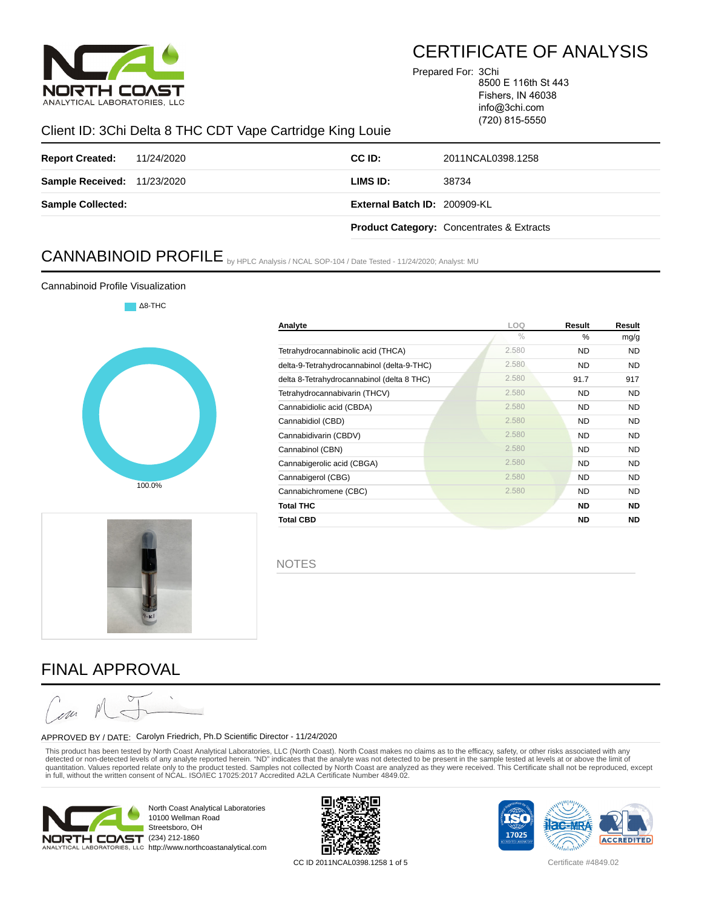

Prepared For: 3Chi

8500 E 116th St 443 Fishers, IN 46038 info@3chi.com

(720) 815-5550

### Client ID: 3Chi Delta 8 THC CDT Vape Cartridge King Louie

| <b>Report Created:</b> 11/24/2020  | CC ID:                       | 2011NCAL0398.1258                                    |
|------------------------------------|------------------------------|------------------------------------------------------|
| <b>Sample Received: 11/23/2020</b> | LIMS ID:                     | 38734                                                |
| <b>Sample Collected:</b>           | External Batch ID: 200909-KL |                                                      |
|                                    |                              | <b>Product Category: Concentrates &amp; Extracts</b> |

# CANNABINOID PROFILE by HPLC Analysis / NCAL SOP-104 / Date Tested - 11/24/2020; Analyst: MU

#### Cannabinoid Profile Visualization







**Analyte LOQ Result Result**



# FINAL APPROVAL

#### APPROVED BY / DATE: Carolyn Friedrich, Ph.D Scientific Director - 11/24/2020

This product has been tested by North Coast Analytical Laboratories, LLC (North Coast). North Coast makes no claims as to the efficacy, safety, or other risks associated with any detected or non-detected levels of any analyte reported herein. "ND" indicates that the analyte was not detected to be present in the sample tested at levels at or above the limit of quantitation. Values reported relate only to the product tested. Samples not collected by North Coast are analyzed as they were received. This Certificate shall not be reproduced, except<br>in full, without the written consen



North Coast Analytical Laboratories 10100 Wellman Road Streetsboro, OH ALYTICAL LABORATORIES, LLC http://www.northcoastanalytical.com



CC ID 2011NCAL0398.1258 1 of 5 Certificate #4849.02



% % mg/g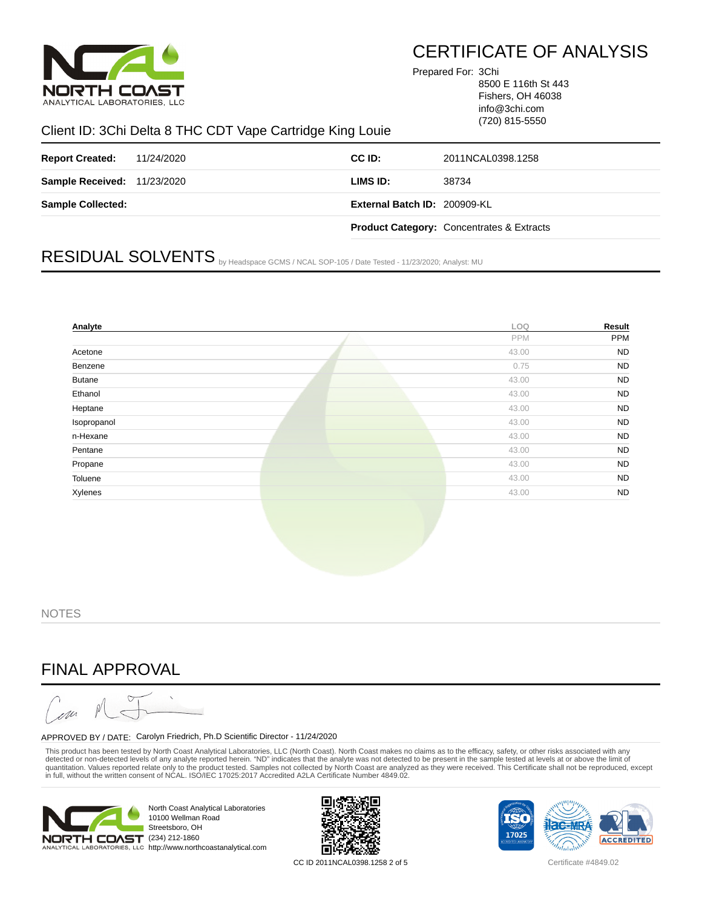

Prepared For: 3Chi

8500 E 116th St 443 Fishers, OH 46038 info@3chi.com (720) 815-5550

#### Client ID: 3Chi Delta 8 THC CDT Vape Cartridge King Louie

| <b>Report Created:</b> 11/24/2020  | CC ID:                       | 2011NCAL0398.1258                                    |
|------------------------------------|------------------------------|------------------------------------------------------|
| <b>Sample Received: 11/23/2020</b> | LIMS ID:                     | 38734                                                |
| <b>Sample Collected:</b>           | External Batch ID: 200909-KL |                                                      |
|                                    |                              | <b>Product Category: Concentrates &amp; Extracts</b> |

# RESIDUAL SOLVENTS by Headspace GCMS / NCAL SOP-105 / Date Tested - 11/23/2020; Analyst: MU

| Analyte       |  | LOQ   | Result    |
|---------------|--|-------|-----------|
|               |  | PPM   | PPM       |
| Acetone       |  | 43.00 | <b>ND</b> |
| Benzene       |  | 0.75  | <b>ND</b> |
| <b>Butane</b> |  | 43.00 | <b>ND</b> |
| Ethanol       |  | 43.00 | <b>ND</b> |
| Heptane       |  | 43.00 | <b>ND</b> |
| Isopropanol   |  | 43.00 | <b>ND</b> |
| n-Hexane      |  | 43.00 | <b>ND</b> |
| Pentane       |  | 43.00 | <b>ND</b> |
| Propane       |  | 43.00 | <b>ND</b> |
| Toluene       |  | 43.00 | <b>ND</b> |
| Xylenes       |  | 43.00 | <b>ND</b> |
|               |  |       |           |
|               |  |       |           |

**NOTES** 

### FINAL APPROVAL



#### APPROVED BY / DATE: Carolyn Friedrich, Ph.D Scientific Director - 11/24/2020

This product has been tested by North Coast Analytical Laboratories, LLC (North Coast). North Coast makes no claims as to the efficacy, safety, or other risks associated with any detected or non-detected levels of any analyte reported herein. "ND" indicates that the analyte was not detected to be present in the sample tested at levels at or above the limit of quantitation. Values reported relate only to the product tested. Samples not collected by North Coast are analyzed as they were received. This Certificate shall not be reproduced, except<br>in full, without the written consen



North Coast Analytical Laboratories 10100 Wellman Road Streetsboro, OH NALYTICAL LABORATORIES, LLC http://www.northcoastanalytical.com



CC ID 2011NCAL0398.1258 2 of 5 Certificate #4849.02

TS0 17025 **ACCREDITED**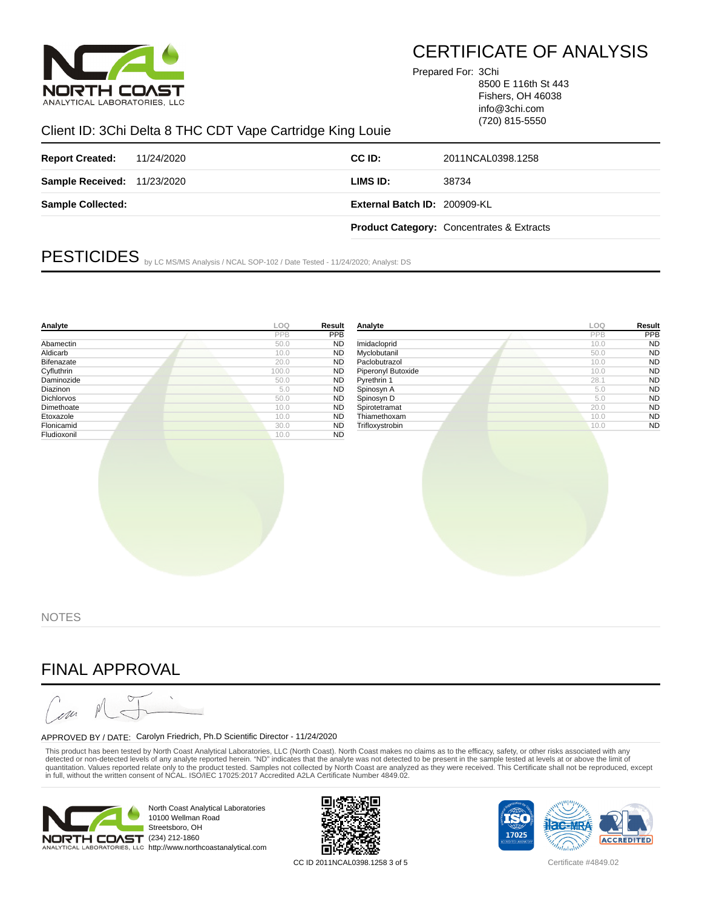

Prepared For: 3Chi

8500 E 116th St 443 Fishers, OH 46038 info@3chi.com (720) 815-5550

### Client ID: 3Chi Delta 8 THC CDT Vape Cartridge King Louie

| <b>Report Created:</b> 11/24/2020  | CC ID:                       | 2011NCAL0398.1258                                    |
|------------------------------------|------------------------------|------------------------------------------------------|
| <b>Sample Received: 11/23/2020</b> | LIMS ID:                     | 38734                                                |
| <b>Sample Collected:</b>           | External Batch ID: 200909-KL |                                                      |
|                                    |                              | <b>Product Category: Concentrates &amp; Extracts</b> |

PESTICIDES by LC MS/MS Analysis / NCAL SOP-102 / Date Tested - 11/24/2020; Analyst: DS

| Analyte     | LOO   | Result    | Analyte            | LOO  | Result    |
|-------------|-------|-----------|--------------------|------|-----------|
|             | PPB   | PPB       |                    | PPB  | PPB       |
| Abamectin   | 50.0  | <b>ND</b> | Imidacloprid       | 10.0 | <b>ND</b> |
| Aldicarb    | 10.0  | <b>ND</b> | Myclobutanil       | 50.0 | <b>ND</b> |
| Bifenazate  | 20.0  | <b>ND</b> | Paclobutrazol      | 10.0 | <b>ND</b> |
| Cyfluthrin  | 100.0 | <b>ND</b> | Piperonyl Butoxide | 10.0 | <b>ND</b> |
| Daminozide  | 50.0  | <b>ND</b> | Pyrethrin 1        | 28.1 | <b>ND</b> |
| Diazinon    | 5.0   | <b>ND</b> | Spinosyn A         | 5.0  | <b>ND</b> |
| Dichlorvos  | 50.0  | <b>ND</b> | Spinosyn D         | 5.0  | <b>ND</b> |
| Dimethoate  | 10.0  | <b>ND</b> | Spirotetramat      | 20.0 | <b>ND</b> |
| Etoxazole   | 10.0  | <b>ND</b> | Thiamethoxam       | 10.0 | <b>ND</b> |
| Flonicamid  | 30.0  | <b>ND</b> | Trifloxystrobin    | 10.0 | <b>ND</b> |
| Fludioxonil | 10.0  | <b>ND</b> |                    |      |           |
|             |       |           |                    |      |           |

**NOTES** 

### FINAL APPROVAL

m

#### APPROVED BY / DATE: Carolyn Friedrich, Ph.D Scientific Director - 11/24/2020

This product has been tested by North Coast Analytical Laboratories, LLC (North Coast). North Coast makes no claims as to the efficacy, safety, or other risks associated with any detected or non-detected levels of any analyte reported herein. "ND" indicates that the analyte was not detected to be present in the sample tested at levels at or above the limit of quantitation. Values reported relate only to the product tested. Samples not collected by North Coast are analyzed as they were received. This Certificate shall not be reproduced, except<br>in full, without the written consen



North Coast Analytical Laboratories 10100 Wellman Road Streetsboro, OH NALYTICAL LABORATORIES, LLC http://www.northcoastanalytical.com



CC ID 2011NCAL0398.1258 3 of 5 Certificate #4849.02

TS0 17025 **ACCREDITED**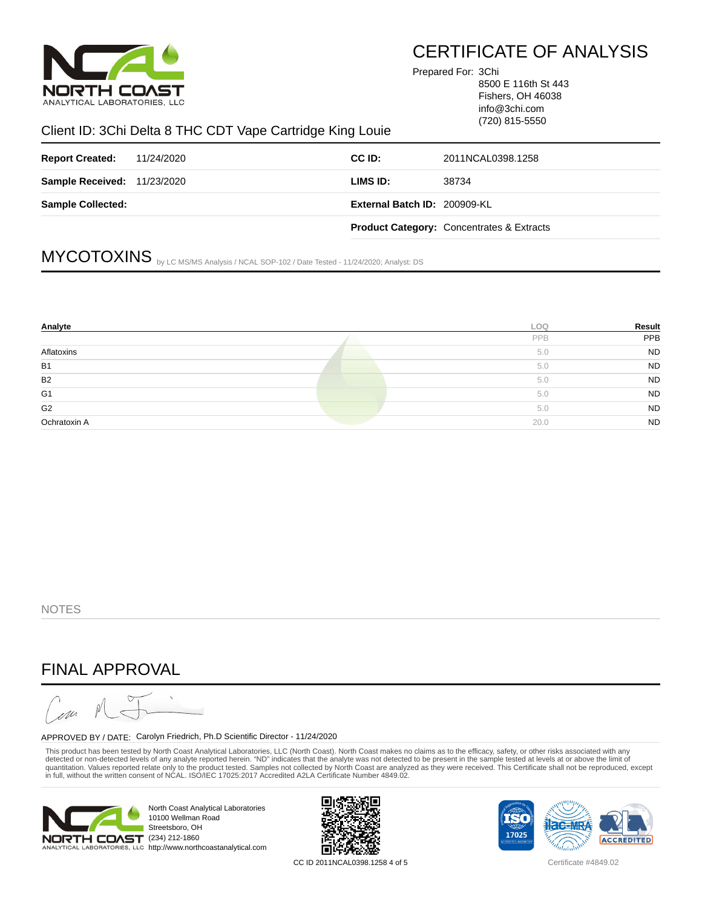

Prepared For: 3Chi

8500 E 116th St 443 Fishers, OH 46038 info@3chi.com (720) 815-5550

#### Client ID: 3Chi Delta 8 THC CDT Vape Cartridge King Louie

| <b>Report Created:</b> 11/24/2020  | CC ID:                       | 2011NCAL0398.1258                                    |
|------------------------------------|------------------------------|------------------------------------------------------|
| <b>Sample Received: 11/23/2020</b> | LIMS ID:                     | 38734                                                |
| <b>Sample Collected:</b>           | External Batch ID: 200909-KL |                                                      |
|                                    |                              | <b>Product Category: Concentrates &amp; Extracts</b> |

# MYCOTOXINS by LC MS/MS Analysis / NCAL SOP-102 / Date Tested - 11/24/2020; Analyst: DS

| Analyte        | <b>LOO</b> | Result    |
|----------------|------------|-----------|
|                | PPB        | PPB       |
| Aflatoxins     | 5.0        | <b>ND</b> |
| <b>B1</b>      | 5.0        | <b>ND</b> |
| B <sub>2</sub> | 5.0        | <b>ND</b> |
| G <sub>1</sub> | 5.0        | <b>ND</b> |
| G <sub>2</sub> | 5.0        | <b>ND</b> |
| Ochratoxin A   | 20.0       | <b>ND</b> |

**NOTES** 

### FINAL APPROVAL

m

#### APPROVED BY / DATE: Carolyn Friedrich, Ph.D Scientific Director - 11/24/2020

This product has been tested by North Coast Analytical Laboratories, LLC (North Coast). North Coast makes no claims as to the efficacy, safety, or other risks associated with any detected or non-detected levels of any analyte reported herein. "ND" indicates that the analyte was not detected to be present in the sample tested at levels at or above the limit of quantitation. Values reported relate only to the product tested. Samples not collected by North Coast are analyzed as they were received. This Certificate shall not be reproduced, except<br>in full, without the written consen



North Coast Analytical Laboratories 10100 Wellman Road Streetsboro, OH NALYTICAL LABORATORIES, LLC http://www.northcoastanalytical.com



CC ID 2011NCAL0398.1258 4 of 5 Certificate #4849.02

TS0 17025 **ACCREDITED**